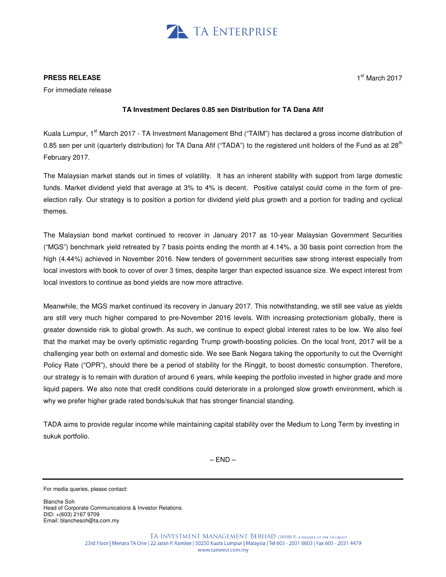

## **PRESS RELEASE**

For immediate release

## **TA Investment Declares 0.85 sen Distribution for TA Dana Afif**

Kuala Lumpur, 1<sup>st</sup> March 2017 - TA Investment Management Bhd ("TAIM") has declared a gross income distribution of 0.85 sen per unit (quarterly distribution) for TA Dana Afif ("TADA") to the registered unit holders of the Fund as at 28<sup>th</sup> February 2017.

The Malaysian market stands out in times of volatility. It has an inherent stability with support from large domestic funds. Market dividend yield that average at 3% to 4% is decent. Positive catalyst could come in the form of preelection rally. Our strategy is to position a portion for dividend yield plus growth and a portion for trading and cyclical themes.

The Malaysian bond market continued to recover in January 2017 as 10-year Malaysian Government Securities ("MGS") benchmark yield retreated by 7 basis points ending the month at 4.14%, a 30 basis point correction from the high (4.44%) achieved in November 2016. New tenders of government securities saw strong interest especially from local investors with book to cover of over 3 times, despite larger than expected issuance size. We expect interest from local investors to continue as bond yields are now more attractive.

Meanwhile, the MGS market continued its recovery in January 2017. This notwithstanding, we still see value as yields are still very much higher compared to pre-November 2016 levels. With increasing protectionism globally, there is greater downside risk to global growth. As such, we continue to expect global interest rates to be low. We also feel that the market may be overly optimistic regarding Trump growth-boosting policies. On the local front, 2017 will be a challenging year both on external and domestic side. We see Bank Negara taking the opportunity to cut the Overnight Policy Rate ("OPR"), should there be a period of stability for the Ringgit, to boost domestic consumption. Therefore, our strategy is to remain with duration of around 6 years, while keeping the portfolio invested in higher grade and more liquid papers. We also note that credit conditions could deteriorate in a prolonged slow growth environment, which is why we prefer higher grade rated bonds/sukuk that has stronger financial standing.

TADA aims to provide regular income while maintaining capital stability over the Medium to Long Term by investing in sukuk portfolio.

 $-$  END  $-$ 

Blanche Soh Head of Corporate Communications & Investor Relations DID: +(603) 2167 9709 Email: blanchesoh@ta.com.my

For media queries, please contact: